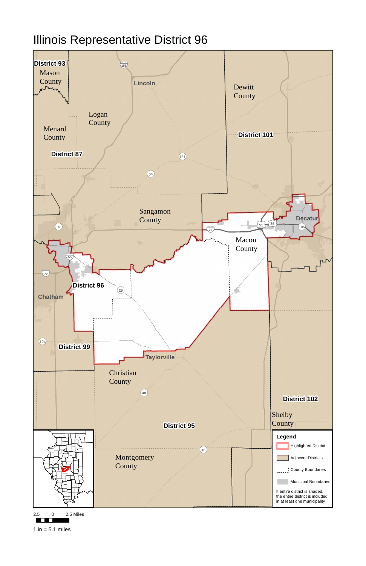## Illinois Representative District 96



2.5 0 2.5 Miles

**TELE** 

1 in  $= 5.1$  miles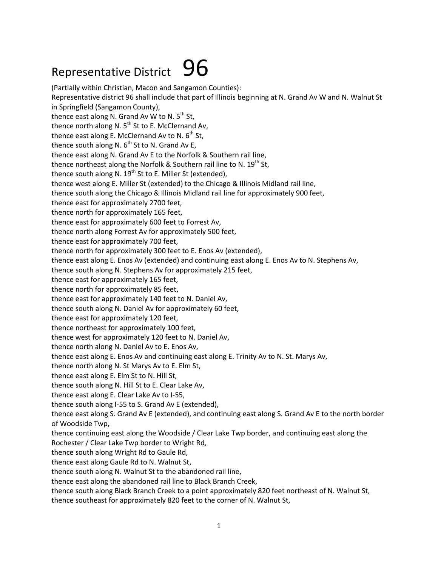## Representative District  $96$

(Partially within Christian, Macon and Sangamon Counties): Representative district 96 shall include that part of Illinois beginning at N. Grand Av W and N. Walnut St in Springfield (Sangamon County), thence east along N. Grand Av W to N.  $5<sup>th</sup>$  St, thence north along N.  $5<sup>th</sup>$  St to E. McClernand Av, thence east along E. McClernand Av to N.  $6<sup>th</sup>$  St, thence south along N.  $6<sup>th</sup>$  St to N. Grand Av E, thence east along N. Grand Av E to the Norfolk & Southern rail line, thence northeast along the Norfolk & Southern rail line to N.  $19^{th}$  St, thence south along N.  $19^{th}$  St to E. Miller St (extended), thence west along E. Miller St (extended) to the Chicago & Illinois Midland rail line, thence south along the Chicago & Illinois Midland rail line for approximately 900 feet, thence east for approximately 2700 feet, thence north for approximately 165 feet, thence east for approximately 600 feet to Forrest Av, thence north along Forrest Av for approximately 500 feet, thence east for approximately 700 feet, thence north for approximately 300 feet to E. Enos Av (extended), thence east along E. Enos Av (extended) and continuing east along E. Enos Av to N. Stephens Av, thence south along N. Stephens Av for approximately 215 feet, thence east for approximately 165 feet, thence north for approximately 85 feet, thence east for approximately 140 feet to N. Daniel Av, thence south along N. Daniel Av for approximately 60 feet, thence east for approximately 120 feet, thence northeast for approximately 100 feet, thence west for approximately 120 feet to N. Daniel Av, thence north along N. Daniel Av to E. Enos Av, thence east along E. Enos Av and continuing east along E. Trinity Av to N. St. Marys Av, thence north along N. St Marys Av to E. Elm St, thence east along E. Elm St to N. Hill St, thence south along N. Hill St to E. Clear Lake Av, thence east along E. Clear Lake Av to I-55, thence south along I-55 to S. Grand Av E (extended), thence east along S. Grand Av E (extended), and continuing east along S. Grand Av E to the north border of Woodside Twp, thence continuing east along the Woodside / Clear Lake Twp border, and continuing east along the Rochester / Clear Lake Twp border to Wright Rd, thence south along Wright Rd to Gaule Rd, thence east along Gaule Rd to N. Walnut St, thence south along N. Walnut St to the abandoned rail line, thence east along the abandoned rail line to Black Branch Creek, thence south along Black Branch Creek to a point approximately 820 feet northeast of N. Walnut St, thence southeast for approximately 820 feet to the corner of N. Walnut St,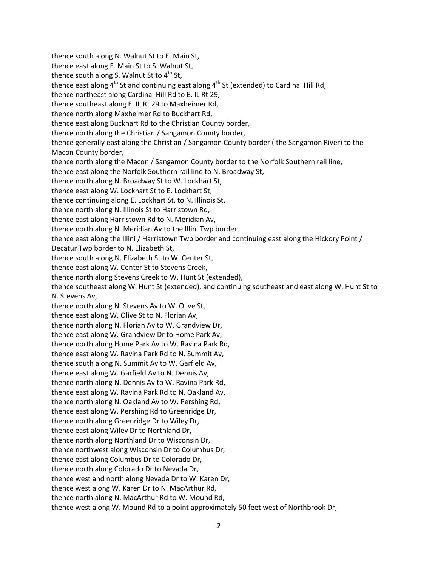thence south along N. Walnut St to E. Main St, thence east along E. Main St to S. Walnut St, thence south along S. Walnut St to  $4<sup>th</sup>$  St, thence east along  $4<sup>th</sup>$  St and continuing east along  $4<sup>th</sup>$  St (extended) to Cardinal Hill Rd, thence northeast along Cardinal Hill Rd to E. IL Rt 29, thence southeast along E. IL Rt 29 to Maxheimer Rd, thence north along Maxheimer Rd to Buckhart Rd, thence east along Buckhart Rd to the Christian County border, thence north along the Christian / Sangamon County border, thence generally east along the Christian / Sangamon County border ( the Sangamon River) to the Macon County border, thence north along the Macon / Sangamon County border to the Norfolk Southern rail line, thence east along the Norfolk Southern rail line to N. Broadway St, thence north along N. Broadway St to W. Lockhart St, thence east along W. Lockhart St to E. Lockhart St, thence continuing along E. Lockhart St. to N. Illinois St, thence north along N. Illinois St to Harristown Rd, thence east along Harristown Rd to N. Meridian Av, thence north along N. Meridian Av to the Illini Twp border, thence east along the Illini / Harristown Twp border and continuing east along the Hickory Point / Decatur Twp border to N. Elizabeth St, thence south along N. Elizabeth St to W. Center St, thence east along W. Center St to Stevens Creek, thence north along Stevens Creek to W. Hunt St (extended), thence southeast along W. Hunt St (extended), and continuing southeast and east along W. Hunt St to N. Stevens Av, thence north along N. Stevens Av to W. Olive St, thence east along W. Olive St to N. Florian Av, thence north along N. Florian Av to W. Grandview Dr, thence east along W. Grandview Dr to Home Park Av, thence north along Home Park Av to W. Ravina Park Rd, thence east along W. Ravina Park Rd to N. Summit Av, thence south along N. Summit Av to W. Garfield Av, thence east along W. Garfield Av to N. Dennis Av, thence north along N. Dennis Av to W. Ravina Park Rd, thence east along W. Ravina Park Rd to N. Oakland Av, thence north along N. Oakland Av to W. Pershing Rd, thence east along W. Pershing Rd to Greenridge Dr, thence north along Greenridge Dr to Wiley Dr, thence east along Wiley Dr to Northland Dr, thence north along Northland Dr to Wisconsin Dr, thence northwest along Wisconsin Dr to Columbus Dr, thence east along Columbus Dr to Colorado Dr, thence north along Colorado Dr to Nevada Dr, thence west and north along Nevada Dr to W. Karen Dr, thence west along W. Karen Dr to N. MacArthur Rd, thence north along N. MacArthur Rd to W. Mound Rd, thence west along W. Mound Rd to a point approximately 50 feet west of Northbrook Dr,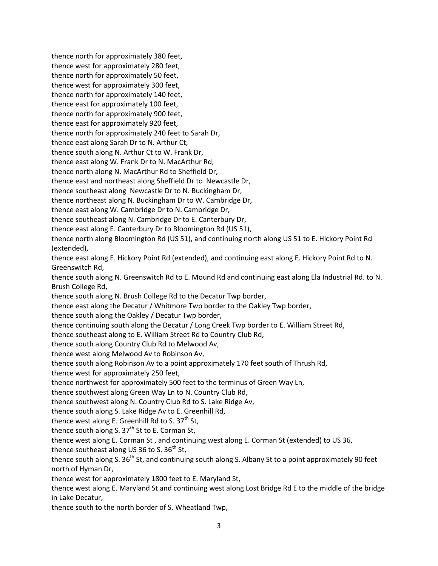thence north for approximately 380 feet, thence west for approximately 280 feet, thence north for approximately 50 feet, thence west for approximately 300 feet, thence north for approximately 140 feet, thence east for approximately 100 feet, thence north for approximately 900 feet, thence east for approximately 920 feet, thence north for approximately 240 feet to Sarah Dr, thence east along Sarah Dr to N. Arthur Ct, thence south along N. Arthur Ct to W. Frank Dr, thence east along W. Frank Dr to N. MacArthur Rd, thence north along N. MacArthur Rd to Sheffield Dr, thence east and northeast along Sheffield Dr to Newcastle Dr, thence southeast along Newcastle Dr to N. Buckingham Dr, thence northeast along N. Buckingham Dr to W. Cambridge Dr, thence east along W. Cambridge Dr to N. Cambridge Dr, thence southeast along N. Cambridge Dr to E. Canterbury Dr, thence east along E. Canterbury Dr to Bloomington Rd (US 51), thence north along Bloomington Rd (US 51), and continuing north along US 51 to E. Hickory Point Rd (extended), thence east along E. Hickory Point Rd (extended), and continuing east along E. Hickory Point Rd to N. Greenswitch Rd, thence south along N. Greenswitch Rd to E. Mound Rd and continuing east along Ela Industrial Rd. to N. Brush College Rd, thence south along N. Brush College Rd to the Decatur Twp border, thence east along the Decatur / Whitmore Twp border to the Oakley Twp border, thence south along the Oakley / Decatur Twp border, thence continuing south along the Decatur / Long Creek Twp border to E. William Street Rd, thence southeast along to E. William Street Rd to Country Club Rd, thence south along Country Club Rd to Melwood Av, thence west along Melwood Av to Robinson Av, thence south along Robinson Av to a point approximately 170 feet south of Thrush Rd, thence west for approximately 250 feet, thence northwest for approximately 500 feet to the terminus of Green Way Ln, thence southwest along Green Way Ln to N. Country Club Rd, thence southwest along N. Country Club Rd to S. Lake Ridge Av, thence south along S. Lake Ridge Av to E. Greenhill Rd, thence west along E. Greenhill Rd to S.  $37<sup>th</sup>$  St, thence south along S.  $37<sup>th</sup>$  St to E. Corman St, thence west along E. Corman St , and continuing west along E. Corman St (extended) to US 36, thence southeast along US 36 to S.  $36<sup>th</sup>$  St, thence south along S.  $36<sup>th</sup>$  St, and continuing south along S. Albany St to a point approximately 90 feet north of Hyman Dr, thence west for approximately 1800 feet to E. Maryland St, thence west along E. Maryland St and continuing west along Lost Bridge Rd E to the middle of the bridge in Lake Decatur, thence south to the north border of S. Wheatland Twp,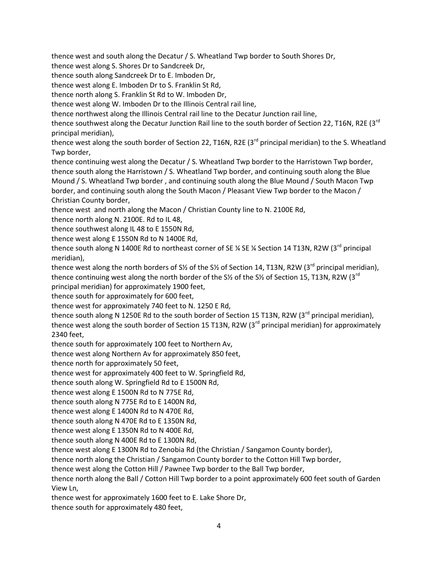thence west and south along the Decatur / S. Wheatland Twp border to South Shores Dr,

thence west along S. Shores Dr to Sandcreek Dr,

thence south along Sandcreek Dr to E. Imboden Dr,

thence west along E. Imboden Dr to S. Franklin St Rd,

thence north along S. Franklin St Rd to W. Imboden Dr,

thence west along W. Imboden Dr to the Illinois Central rail line,

thence northwest along the Illinois Central rail line to the Decatur Junction rail line,

thence southwest along the Decatur Junction Rail line to the south border of Section 22, T16N, R2E (3rd principal meridian),

thence west along the south border of Section 22, T16N, R2E (3<sup>rd</sup> principal meridian) to the S. Wheatland Twp border,

thence continuing west along the Decatur / S. Wheatland Twp border to the Harristown Twp border, thence south along the Harristown / S. Wheatland Twp border, and continuing south along the Blue Mound / S. Wheatland Twp border , and continuing south along the Blue Mound / South Macon Twp border, and continuing south along the South Macon / Pleasant View Twp border to the Macon / Christian County border,

thence west and north along the Macon / Christian County line to N. 2100E Rd,

thence north along N. 2100E. Rd to IL 48,

thence southwest along IL 48 to E 1550N Rd,

thence west along E 1550N Rd to N 1400E Rd,

thence south along N 1400E Rd to northeast corner of SE  $\frac{1}{4}$  Section 14 T13N, R2W (3<sup>rd</sup> principal meridian),

thence west along the north borders of S<sup>1</sup>/<sub>2</sub> of the S<sup>1</sup>/<sub>2</sub> of Section 14, T13N, R2W (3<sup>rd</sup> principal meridian), thence continuing west along the north border of the S<sup>1</sup>/<sub>2</sub> of the S<sup>1</sup>/<sub>2</sub> of Section 15, T13N, R2W (3<sup>rd</sup>) principal meridian) for approximately 1900 feet,

thence south for approximately for 600 feet,

thence west for approximately 740 feet to N. 1250 E Rd,

thence south along N 1250E Rd to the south border of Section 15 T13N, R2W (3<sup>rd</sup> principal meridian). thence west along the south border of Section 15 T13N, R2W ( $3<sup>rd</sup>$  principal meridian) for approximately 2340 feet,

thence south for approximately 100 feet to Northern Av,

thence west along Northern Av for approximately 850 feet,

thence north for approximately 50 feet,

thence west for approximately 400 feet to W. Springfield Rd,

thence south along W. Springfield Rd to E 1500N Rd,

thence west along E 1500N Rd to N 775E Rd,

thence south along N 775E Rd to E 1400N Rd,

thence west along E 1400N Rd to N 470E Rd,

thence south along N 470E Rd to E 1350N Rd,

thence west along E 1350N Rd to N 400E Rd,

thence south along N 400E Rd to E 1300N Rd,

thence west along E 1300N Rd to Zenobia Rd (the Christian / Sangamon County border),

thence north along the Christian / Sangamon County border to the Cotton Hill Twp border,

thence west along the Cotton Hill / Pawnee Twp border to the Ball Twp border,

thence north along the Ball / Cotton Hill Twp border to a point approximately 600 feet south of Garden View Ln,

thence west for approximately 1600 feet to E. Lake Shore Dr,

thence south for approximately 480 feet,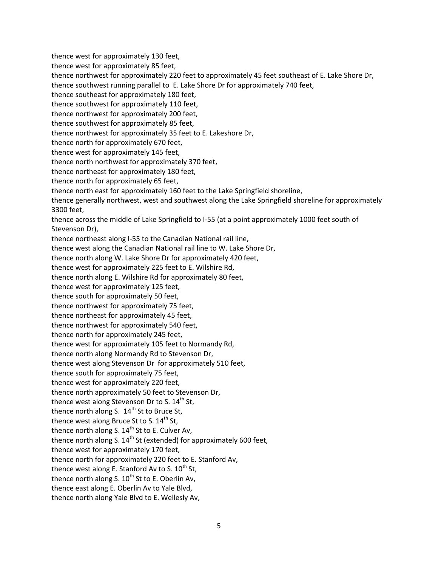thence west for approximately 130 feet, thence west for approximately 85 feet, thence northwest for approximately 220 feet to approximately 45 feet southeast of E. Lake Shore Dr, thence southwest running parallel to E. Lake Shore Dr for approximately 740 feet, thence southeast for approximately 180 feet, thence southwest for approximately 110 feet, thence northwest for approximately 200 feet, thence southwest for approximately 85 feet, thence northwest for approximately 35 feet to E. Lakeshore Dr, thence north for approximately 670 feet, thence west for approximately 145 feet, thence north northwest for approximately 370 feet, thence northeast for approximately 180 feet, thence north for approximately 65 feet, thence north east for approximately 160 feet to the Lake Springfield shoreline, thence generally northwest, west and southwest along the Lake Springfield shoreline for approximately 3300 feet, thence across the middle of Lake Springfield to I-55 (at a point approximately 1000 feet south of Stevenson Dr), thence northeast along I-55 to the Canadian National rail line, thence west along the Canadian National rail line to W. Lake Shore Dr, thence north along W. Lake Shore Dr for approximately 420 feet, thence west for approximately 225 feet to E. Wilshire Rd, thence north along E. Wilshire Rd for approximately 80 feet, thence west for approximately 125 feet, thence south for approximately 50 feet, thence northwest for approximately 75 feet, thence northeast for approximately 45 feet, thence northwest for approximately 540 feet, thence north for approximately 245 feet, thence west for approximately 105 feet to Normandy Rd, thence north along Normandy Rd to Stevenson Dr, thence west along Stevenson Dr for approximately 510 feet, thence south for approximately 75 feet, thence west for approximately 220 feet, thence north approximately 50 feet to Stevenson Dr, thence west along Stevenson Dr to S. 14<sup>th</sup> St. thence north along S.  $14<sup>th</sup>$  St to Bruce St, thence west along Bruce St to S. 14<sup>th</sup> St, thence north along S. 14<sup>th</sup> St to E. Culver Av, thence north along S.  $14<sup>th</sup>$  St (extended) for approximately 600 feet, thence west for approximately 170 feet, thence north for approximately 220 feet to E. Stanford Av, thence west along E. Stanford Av to S.  $10^{th}$  St, thence north along S.  $10^{th}$  St to E. Oberlin Av, thence east along E. Oberlin Av to Yale Blvd, thence north along Yale Blvd to E. Wellesly Av,